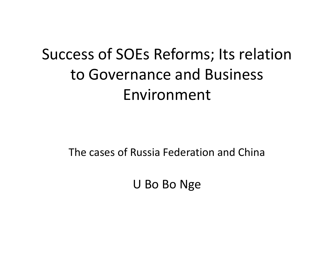# Success of SOEs Reforms; Its relation to Governance and Business Environment

The cases of Russia Federation and China

U Bo Bo Nge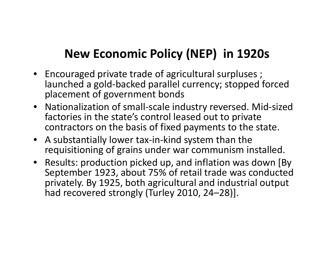### **New Economic Policy (NEP) in 1920s**

- Encouraged private trade of agricultural surpluses ; launched a gold-backed parallel currency; stopped forced placement of government bonds
- Nationalization of small-scale industry reversed. Mid-sized factories in the state's control leased out to private contractors on the basis of fixed payments to the state.
- A substantially lower tax-in-kind system than the requisitioning of grains under war communism installed.
- Results: production picked up, and inflation was down [By September 1923, about 75% of retail trade was conducted privately. By 1925, both agricultural and industrial output had recovered strongly (Turley 2010, 24–28)].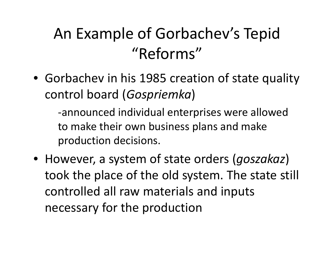## An Example of Gorbachev's Tepid "Reforms"

• Gorbachev in his 1985 creation of state quality control board (*Gospriemka*)

-announced individual enterprises were allowed to make their own business plans and make production decisions.

• However, a system of state orders (*goszakaz*) took the place of the old system. The state still controlled all raw materials and inputs necessary for the production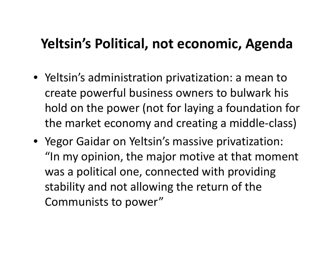### **Yeltsin's Political, not economic, Agenda**

- Yeltsin's administration privatization: a mean to create powerful business owners to bulwark his hold on the power (not for laying a foundation for the market economy and creating a middle-class)
- Yegor Gaidar on Yeltsin's massive privatization: "In my opinion, the major motive at that moment was a political one, connected with providing stability and not allowing the return of the Communists to power"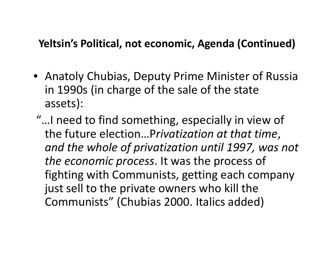#### **Yeltsin's Political, not economic, Agenda (Continued)**

- Anatoly Chubias, Deputy Prime Minister of Russia in 1990s (in charge of the sale of the state assets):
- "…I need to find something, especially in view of the future election…P*rivatization at that time*, *and the whole of privatization until 1997, was not the economic process*. It was the process of fighting with Communists, getting each company just sell to the private owners who kill the Communists" (Chubias 2000. Italics added)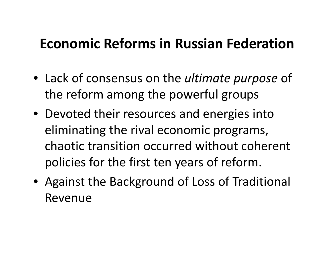### **Economic Reforms in Russian Federation**

- Lack of consensus on the *ultimate purpose* of the reform among the powerful groups
- Devoted their resources and energies into eliminating the rival economic programs, chaotic transition occurred without coherent policies for the first ten years of reform.
- Against the Background of Loss of Traditional Revenue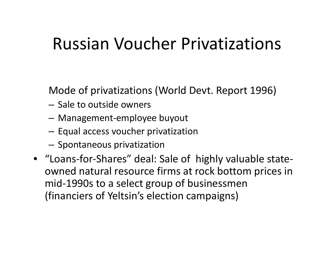## Russian Voucher Privatizations

Mode of privatizations (World Devt. Report 1996)

- Sale to outside owners
- –Management-employee buyout
- – $-$  Equal access voucher privatization
- $-$  Spontaneous privatization
- "Loans-for-Shares" deal: Sale of highly valuable stateowned natural resource firms at rock bottom prices in mid-1990s to a select group of businessmen (financiers of Yeltsin's election campaigns)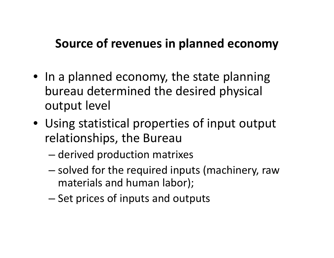#### **Source of revenues in planned economy**

- In a planned economy, the state planning bureau determined the desired physical output level
- Using statistical properties of input output relationships, the Bureau
	- – $-$  derived production matrixes
	- –– solved for the required inputs (machinery, raw materials and human labor);
	- –– Set prices of inputs and outputs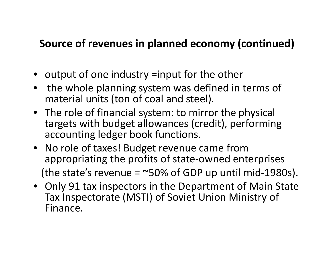#### **Source of revenues in planned economy (continued)**

- output of one industry =input for the other
- • the whole planning system was defined in terms of material units (ton of coal and steel).
- The role of financial system: to mirror the physical targets with budget allowances (credit), performing accounting ledger book functions.
- No role of taxes! Budget revenue came from appropriating the profits of state-owned enterprises (the state's revenue =  $\sim$ 50% of GDP up until mid-1980s).
- Only 91 tax inspectors in the Department of Main State Tax Inspectorate (MSTI) of Soviet Union Ministry of Finance.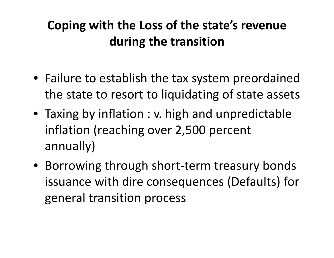### **Coping with the Loss of the state's revenue during the transition**

- Failure to establish the tax system preordained the state to resort to liquidating of state assets
- Taxing by inflation : v. high and unpredictable inflation (reaching over 2,500 percent annually)
- Borrowing through short-term treasury bonds issuance with dire consequences (Defaults) for general transition process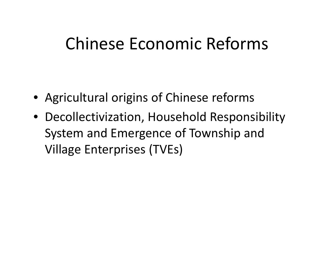## Chinese Economic Reforms

- Agricultural origins of Chinese reforms
- Decollectivization, Household Responsibility System and Emergence of Township and Village Enterprises (TVEs)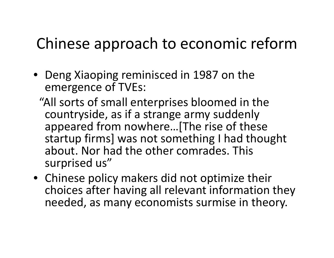## Chinese approach to economic reform

- Deng Xiaoping reminisced in 1987 on the emergence of TVEs:
	- "All sorts of small enterprises bloomed in the countryside, as if a strange army suddenly appeared from nowhere…[The rise of these startup firms] was not something I had thought about. Nor had the other comrades. This surprised us"
- Chinese policy makers did not optimize their choices after having all relevant information they needed, as many economists surmise in theory.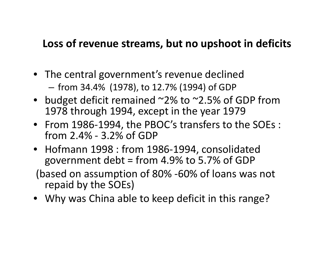#### **Loss of revenue streams, but no upshoot in deficits**

• The central government's revenue declined

from 34.4% (1978), to 12.7% (1994) of GDP

- budget deficit remained ~2% to ~2.5% of GDP from 1978 through 1994, except in the year 1979
- From 1986-1994, the PBOC's transfers to the SOEs : from 2.4% - 3.2% of GDP
- Hofmann 1998 : from 1986-1994, consolidated government debt = from 4.9% to 5.7% of GDP

(based on assumption of 80% -60% of loans was not repaid by the SOEs)

• Why was China able to keep deficit in this range?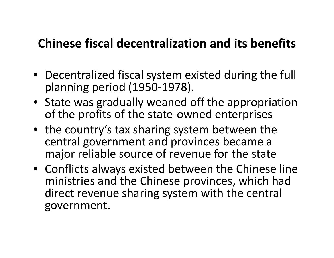#### **Chinese fiscal decentralization and its benefits**

- Decentralized fiscal system existed during the full planning period (1950-1978).
- State was gradually weaned off the appropriation of the profits of the state-owned enterprises
- the country's tax sharing system between the central government and provinces became a major reliable source of revenue for the state
- Conflicts always existed between the Chinese line ministries and the Chinese provinces, which had direct revenue sharing system with the central government.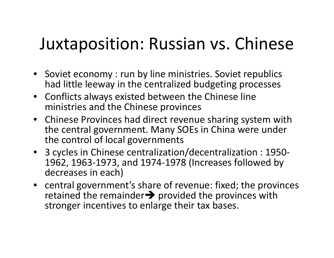# Juxtaposition: Russian vs. Chinese

- Soviet economy : run by line ministries. Soviet republics had little leeway in the centralized budgeting processes
- Conflicts always existed between the Chinese line ministries and the Chinese provinces
- Chinese Provinces had direct revenue sharing system with the central government. Many SOEs in China were under the control of local governments
- 3 cycles in Chinese centralization/decentralization : 1950- 1962, 1963-1973, and 1974-1978 (Increases followed by decreases in each)
- central government's share of revenue: fixed; the provinces retained the remainder $\rightarrow$  provided the provinces with stronger incentives to enlarge their tax bases.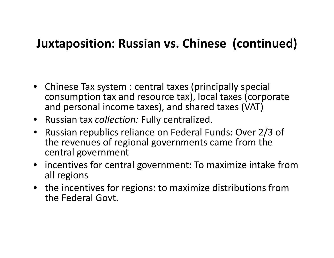#### **Juxtaposition: Russian vs. Chinese (continued)**

- Chinese Tax system : central taxes (principally special consumption tax and resource tax), local taxes (corporate and personal income taxes), and shared taxes (VAT)
- Russian tax *collection:* Fully centralized.
- Russian republics reliance on Federal Funds: Over 2/3 of the revenues of regional governments came from the central government
- incentives for central government: To maximize intake from all regions
- the incentives for regions: to maximize distributions from the Federal Govt.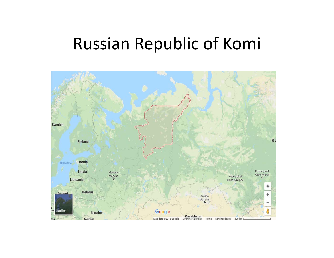# Russian Republic of Komi

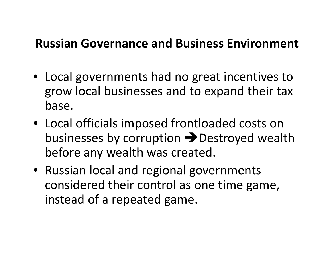#### **Russian Governance and Business Environment**

- Local governments had no great incentives to grow local businesses and to expand their tax base.
- Local officials imposed frontloaded costs on businesses by corruption **>>** Destroyed wealth before any wealth was created.
- Russian local and regional governments considered their control as one time game, instead of a repeated game.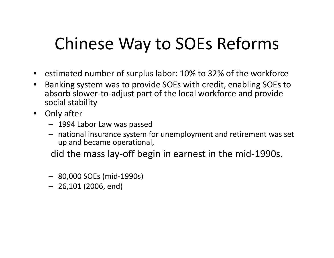# Chinese Way to SOEs Reforms

- estimated number of surplus labor: 10% to 32% of the workforce
- • Banking system was to provide SOEs with credit, enabling SOEs to absorb slower-to-adjust part of the local workforce and provide social stability
- Only after
	- 1994 Labor Law was passed
	- national insurance system for unemployment and retirement was set up and became operational,

did the mass lay-off begin in earnest in the mid-1990s.

- 80,000 SOEs (mid-1990s)
- 26,101 (2006, end)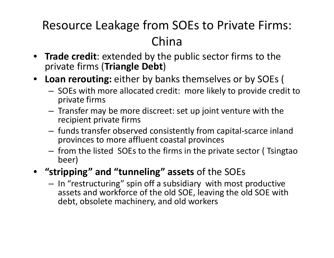### Resource Leakage from SOEs to Private Firms: China

- **Trade credit**: extended by the public sector firms to the private firms (**Triangle Debt**)
- **Loan rerouting:** either by banks themselves or by SOEs (
	- – $-$  SOEs with more allocated credit: more likely to provide credit to private firms
	- – $-$  Transfer may be more discreet: set up joint venture with the recipient private firms
	- – funds transfer observed consistently from capital-scarce inland provinces to more affluent coastal provinces
	- – $-$  from the listed SOEs to the firms in the private sector (Isingtao beer)
- $\bullet$  **"stripping" and "tunneling" assets** of the SOEs
	- – $-$  In "restructuring" spin off a subsidiary with most productive assets and workforce of the old SOE, leaving the old SOE with debt, obsolete machinery, and old workers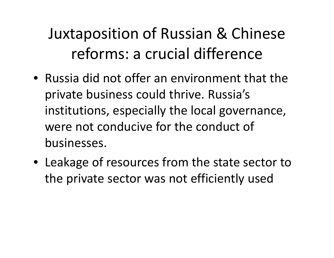Juxtaposition of Russian & Chinese reforms: a crucial difference

- Russia did not offer an environment that the private business could thrive. Russia's institutions, especially the local governance, were not conducive for the conduct of businesses.
- Leakage of resources from the state sector to the private sector was not efficiently used